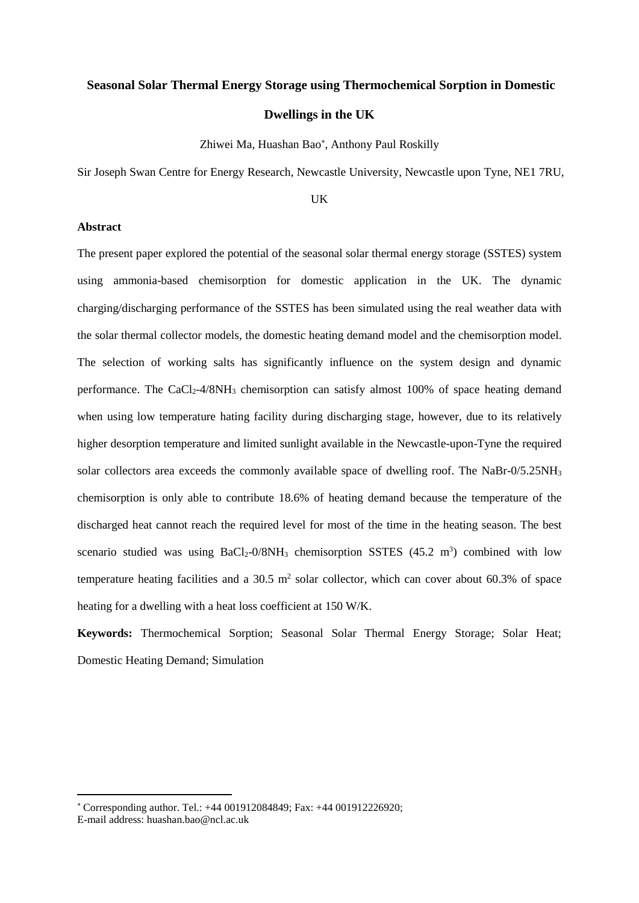# **Seasonal Solar Thermal Energy Storage using Thermochemical Sorption in Domestic Dwellings in the UK**

Zhiwei Ma, Huashan Bao\*, Anthony Paul Roskilly

Sir Joseph Swan Centre for Energy Research, Newcastle University, Newcastle upon Tyne, NE1 7RU,

**UK** 

#### **Abstract**

1

The present paper explored the potential of the seasonal solar thermal energy storage (SSTES) system using ammonia-based chemisorption for domestic application in the UK. The dynamic charging/discharging performance of the SSTES has been simulated using the real weather data with the solar thermal collector models, the domestic heating demand model and the chemisorption model. The selection of working salts has significantly influence on the system design and dynamic performance. The  $CaCl<sub>2</sub>$ -4/8NH<sub>3</sub> chemisorption can satisfy almost 100% of space heating demand when using low temperature hating facility during discharging stage, however, due to its relatively higher desorption temperature and limited sunlight available in the Newcastle-upon-Tyne the required solar collectors area exceeds the commonly available space of dwelling roof. The NaBr-0/5.25NH<sub>3</sub> chemisorption is only able to contribute 18.6% of heating demand because the temperature of the discharged heat cannot reach the required level for most of the time in the heating season. The best scenario studied was using  $BaCl<sub>2</sub>-0/8NH<sub>3</sub>$  chemisorption SSTES (45.2 m<sup>3</sup>) combined with low temperature heating facilities and a 30.5  $m^2$  solar collector, which can cover about 60.3% of space heating for a dwelling with a heat loss coefficient at 150 W/K.

**Keywords:** Thermochemical Sorption; Seasonal Solar Thermal Energy Storage; Solar Heat; Domestic Heating Demand; Simulation

Corresponding author. Tel.: +44 001912084849; Fax: +44 001912226920; E-mail address: huashan.bao@ncl.ac.uk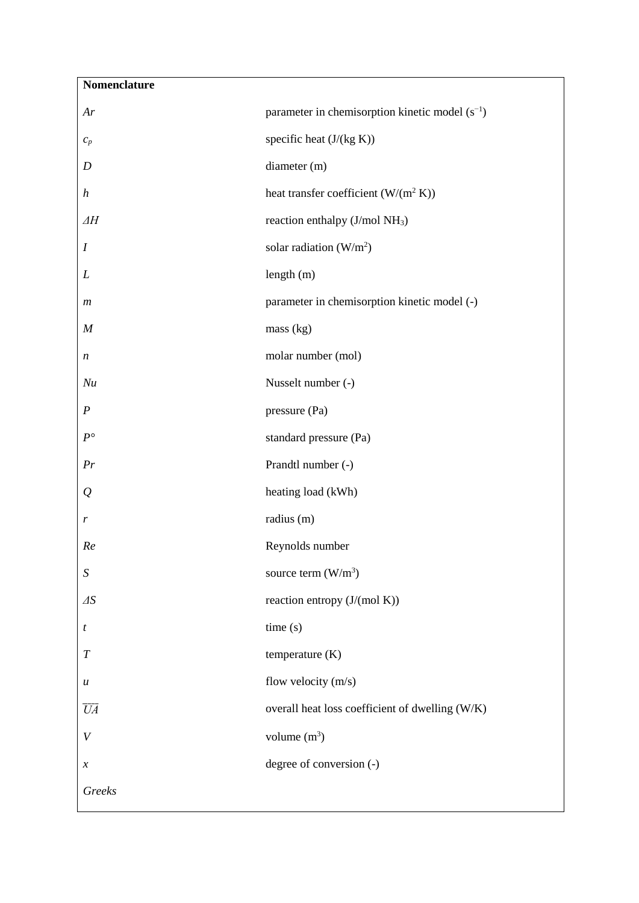| Nomenclature        |                                                     |
|---------------------|-----------------------------------------------------|
| Ar                  | parameter in chemisorption kinetic model $(s^{-1})$ |
| $c_p$               | specific heat (J/(kg K))                            |
| $\boldsymbol{D}$    | diameter (m)                                        |
| $\boldsymbol{h}$    | heat transfer coefficient $(W/(m^2 K))$             |
| $\Delta H$          | reaction enthalpy (J/mol NH <sub>3</sub> )          |
| $\boldsymbol{I}$    | solar radiation $(W/m^2)$                           |
| L                   | length (m)                                          |
| $\boldsymbol{m}$    | parameter in chemisorption kinetic model (-)        |
| $\boldsymbol{M}$    | mass (kg)                                           |
| n                   | molar number (mol)                                  |
| Nu                  | Nusselt number (-)                                  |
| $\boldsymbol{P}$    | pressure (Pa)                                       |
| $P^{\circ}$         | standard pressure (Pa)                              |
| Pr                  | Prandtl number (-)                                  |
| $\varrho$           | heating load (kWh)                                  |
| r                   | radius (m)                                          |
| Re                  | Reynolds number                                     |
| $\boldsymbol{S}$    | source term $(W/m^3)$                               |
| $\Delta S$          | reaction entropy (J/(mol K))                        |
| t                   | time(s)                                             |
| $\boldsymbol{T}$    | temperature (K)                                     |
| $\boldsymbol{u}$    | flow velocity (m/s)                                 |
| $\overline{UA}$     | overall heat loss coefficient of dwelling (W/K)     |
| $\boldsymbol{V}$    | volume $(m^3)$                                      |
| $\boldsymbol{\chi}$ | degree of conversion (-)                            |
| Greeks              |                                                     |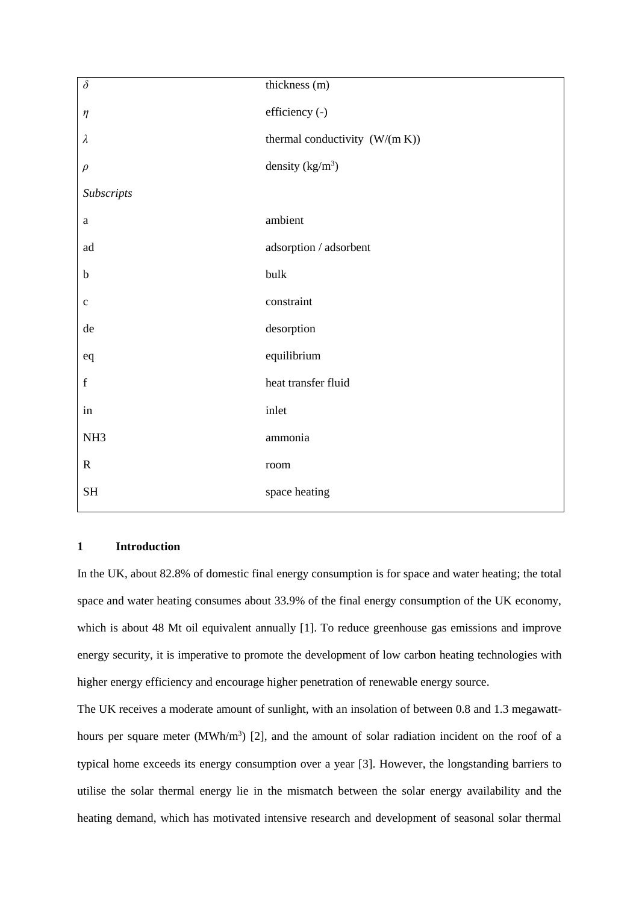| $\delta$            | thickness (m)                  |  |  |  |  |
|---------------------|--------------------------------|--|--|--|--|
| $\eta$              | efficiency (-)                 |  |  |  |  |
| λ                   | thermal conductivity (W/(m K)) |  |  |  |  |
| $\rho$              | density $(kg/m^3)$             |  |  |  |  |
| Subscripts          |                                |  |  |  |  |
| $\rm{a}$            | ambient                        |  |  |  |  |
| ad                  | adsorption / adsorbent         |  |  |  |  |
| $\mathbf b$         | bulk                           |  |  |  |  |
| $\mathbf{C}$        | constraint                     |  |  |  |  |
| de                  | desorption                     |  |  |  |  |
| eq                  | equilibrium                    |  |  |  |  |
| $\mathbf f$         | heat transfer fluid            |  |  |  |  |
| $\operatorname{in}$ | inlet                          |  |  |  |  |
| NH <sub>3</sub>     | ammonia                        |  |  |  |  |
| ${\bf R}$           | room                           |  |  |  |  |
| $\operatorname{SH}$ | space heating                  |  |  |  |  |

# **1 Introduction**

In the UK, about 82.8% of domestic final energy consumption is for space and water heating; the total space and water heating consumes about 33.9% of the final energy consumption of the UK economy, which is about 48 Mt oil equivalent annually [1]. To reduce greenhouse gas emissions and improve energy security, it is imperative to promote the development of low carbon heating technologies with higher energy efficiency and encourage higher penetration of renewable energy source.

The UK receives a moderate amount of sunlight, with an insolation of between 0.8 and 1.3 megawatthours per square meter ( $MWh/m<sup>3</sup>$ ) [2], and the amount of solar radiation incident on the roof of a typical home exceeds its energy consumption over a year [3]. However, the longstanding barriers to utilise the solar thermal energy lie in the mismatch between the solar energy availability and the heating demand, which has motivated intensive research and development of seasonal solar thermal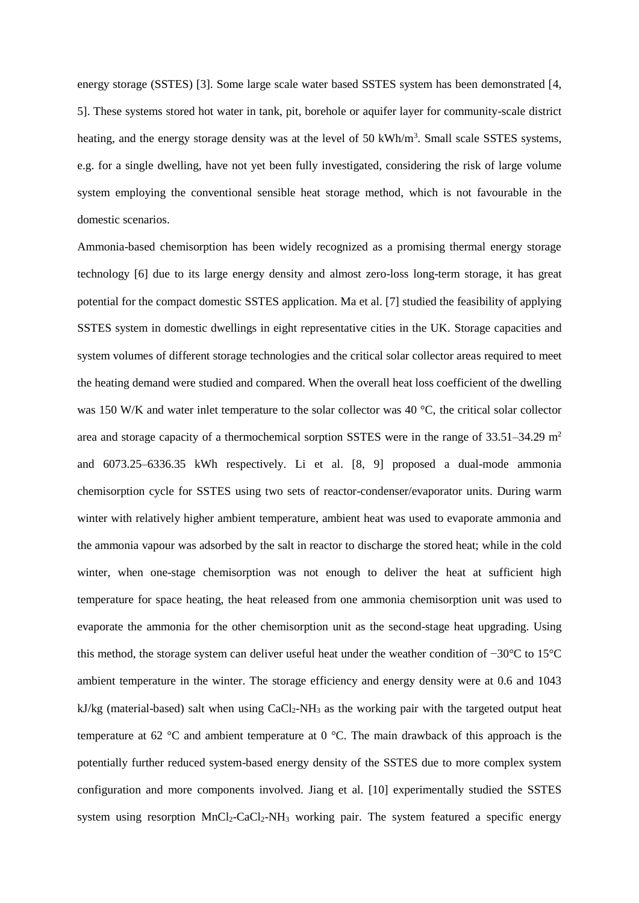energy storage (SSTES) [3]. Some large scale water based SSTES system has been demonstrated [4, 5]. These systems stored hot water in tank, pit, borehole or aquifer layer for community-scale district heating, and the energy storage density was at the level of 50 kWh/m<sup>3</sup>. Small scale SSTES systems, e.g. for a single dwelling, have not yet been fully investigated, considering the risk of large volume system employing the conventional sensible heat storage method, which is not favourable in the domestic scenarios.

Ammonia-based chemisorption has been widely recognized as a promising thermal energy storage technology [6] due to its large energy density and almost zero-loss long-term storage, it has great potential for the compact domestic SSTES application. Ma et al. [7] studied the feasibility of applying SSTES system in domestic dwellings in eight representative cities in the UK. Storage capacities and system volumes of different storage technologies and the critical solar collector areas required to meet the heating demand were studied and compared. When the overall heat loss coefficient of the dwelling was 150 W/K and water inlet temperature to the solar collector was 40 °C, the critical solar collector area and storage capacity of a thermochemical sorption SSTES were in the range of  $33.51-34.29$  m<sup>2</sup> and 6073.25–6336.35 kWh respectively. Li et al. [8, 9] proposed a dual-mode ammonia chemisorption cycle for SSTES using two sets of reactor-condenser/evaporator units. During warm winter with relatively higher ambient temperature, ambient heat was used to evaporate ammonia and the ammonia vapour was adsorbed by the salt in reactor to discharge the stored heat; while in the cold winter, when one-stage chemisorption was not enough to deliver the heat at sufficient high temperature for space heating, the heat released from one ammonia chemisorption unit was used to evaporate the ammonia for the other chemisorption unit as the second-stage heat upgrading. Using this method, the storage system can deliver useful heat under the weather condition of −30°C to 15°C ambient temperature in the winter. The storage efficiency and energy density were at 0.6 and 1043  $kJ/kg$  (material-based) salt when using  $CaCl<sub>2</sub>-NH<sub>3</sub>$  as the working pair with the targeted output heat temperature at 62 °C and ambient temperature at 0 °C. The main drawback of this approach is the potentially further reduced system-based energy density of the SSTES due to more complex system configuration and more components involved. Jiang et al. [10] experimentally studied the SSTES system using resorption MnCl<sub>2</sub>-CaCl<sub>2</sub>-NH<sub>3</sub> working pair. The system featured a specific energy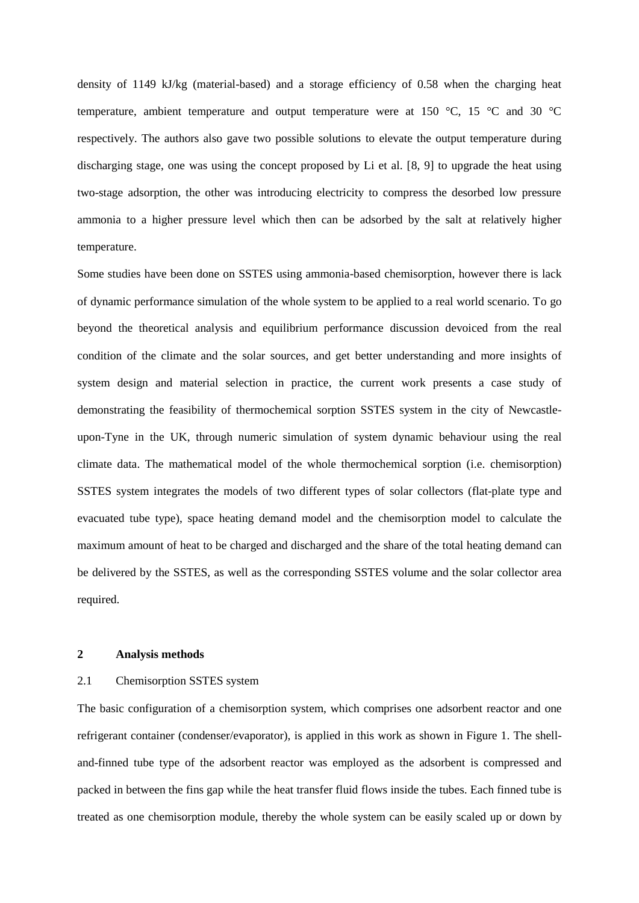density of 1149 kJ/kg (material-based) and a storage efficiency of 0.58 when the charging heat temperature, ambient temperature and output temperature were at 150 °C, 15 °C and 30 °C respectively. The authors also gave two possible solutions to elevate the output temperature during discharging stage, one was using the concept proposed by Li et al. [8, 9] to upgrade the heat using two-stage adsorption, the other was introducing electricity to compress the desorbed low pressure ammonia to a higher pressure level which then can be adsorbed by the salt at relatively higher temperature.

Some studies have been done on SSTES using ammonia-based chemisorption, however there is lack of dynamic performance simulation of the whole system to be applied to a real world scenario. To go beyond the theoretical analysis and equilibrium performance discussion devoiced from the real condition of the climate and the solar sources, and get better understanding and more insights of system design and material selection in practice, the current work presents a case study of demonstrating the feasibility of thermochemical sorption SSTES system in the city of Newcastleupon-Tyne in the UK, through numeric simulation of system dynamic behaviour using the real climate data. The mathematical model of the whole thermochemical sorption (i.e. chemisorption) SSTES system integrates the models of two different types of solar collectors (flat-plate type and evacuated tube type), space heating demand model and the chemisorption model to calculate the maximum amount of heat to be charged and discharged and the share of the total heating demand can be delivered by the SSTES, as well as the corresponding SSTES volume and the solar collector area required.

#### **2 Analysis methods**

# 2.1 Chemisorption SSTES system

The basic configuration of a chemisorption system, which comprises one adsorbent reactor and one refrigerant container (condenser/evaporator), is applied in this work as shown in Figure 1. The shelland-finned tube type of the adsorbent reactor was employed as the adsorbent is compressed and packed in between the fins gap while the heat transfer fluid flows inside the tubes. Each finned tube is treated as one chemisorption module, thereby the whole system can be easily scaled up or down by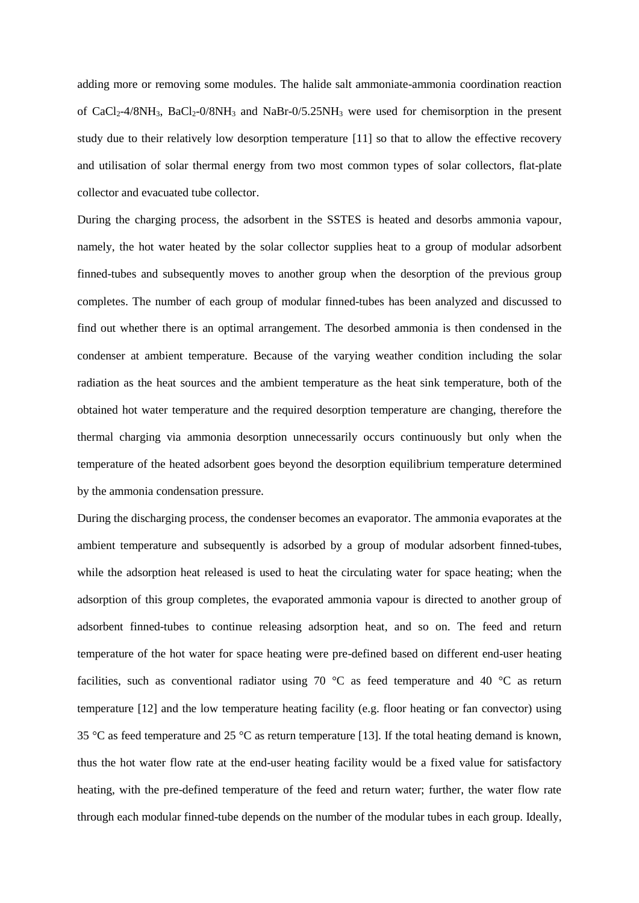adding more or removing some modules. The halide salt ammoniate-ammonia coordination reaction of CaCl2-4/8NH3, BaCl2-0/8NH<sup>3</sup> and NaBr-0/5.25NH<sup>3</sup> were used for chemisorption in the present study due to their relatively low desorption temperature [11] so that to allow the effective recovery and utilisation of solar thermal energy from two most common types of solar collectors, flat-plate collector and evacuated tube collector.

During the charging process, the adsorbent in the SSTES is heated and desorbs ammonia vapour, namely, the hot water heated by the solar collector supplies heat to a group of modular adsorbent finned-tubes and subsequently moves to another group when the desorption of the previous group completes. The number of each group of modular finned-tubes has been analyzed and discussed to find out whether there is an optimal arrangement. The desorbed ammonia is then condensed in the condenser at ambient temperature. Because of the varying weather condition including the solar radiation as the heat sources and the ambient temperature as the heat sink temperature, both of the obtained hot water temperature and the required desorption temperature are changing, therefore the thermal charging via ammonia desorption unnecessarily occurs continuously but only when the temperature of the heated adsorbent goes beyond the desorption equilibrium temperature determined by the ammonia condensation pressure.

During the discharging process, the condenser becomes an evaporator. The ammonia evaporates at the ambient temperature and subsequently is adsorbed by a group of modular adsorbent finned-tubes, while the adsorption heat released is used to heat the circulating water for space heating; when the adsorption of this group completes, the evaporated ammonia vapour is directed to another group of adsorbent finned-tubes to continue releasing adsorption heat, and so on. The feed and return temperature of the hot water for space heating were pre-defined based on different end-user heating facilities, such as conventional radiator using 70 °C as feed temperature and 40 °C as return temperature [12] and the low temperature heating facility (e.g. floor heating or fan convector) using 35 °C as feed temperature and 25 °C as return temperature [13]. If the total heating demand is known, thus the hot water flow rate at the end-user heating facility would be a fixed value for satisfactory heating, with the pre-defined temperature of the feed and return water; further, the water flow rate through each modular finned-tube depends on the number of the modular tubes in each group. Ideally,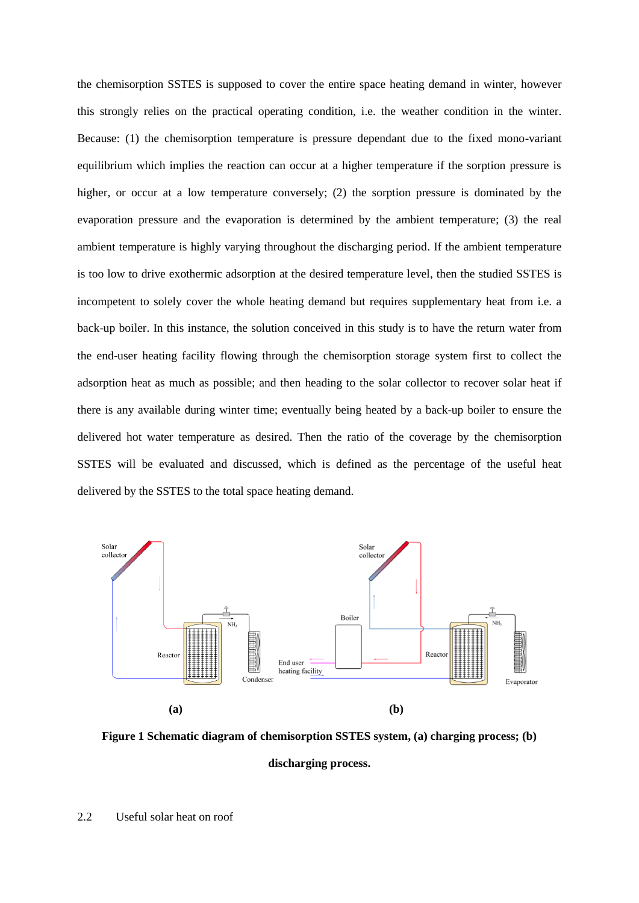the chemisorption SSTES is supposed to cover the entire space heating demand in winter, however this strongly relies on the practical operating condition, i.e. the weather condition in the winter. Because: (1) the chemisorption temperature is pressure dependant due to the fixed mono-variant equilibrium which implies the reaction can occur at a higher temperature if the sorption pressure is higher, or occur at a low temperature conversely; (2) the sorption pressure is dominated by the evaporation pressure and the evaporation is determined by the ambient temperature; (3) the real ambient temperature is highly varying throughout the discharging period. If the ambient temperature is too low to drive exothermic adsorption at the desired temperature level, then the studied SSTES is incompetent to solely cover the whole heating demand but requires supplementary heat from i.e. a back-up boiler. In this instance, the solution conceived in this study is to have the return water from the end-user heating facility flowing through the chemisorption storage system first to collect the adsorption heat as much as possible; and then heading to the solar collector to recover solar heat if there is any available during winter time; eventually being heated by a back-up boiler to ensure the delivered hot water temperature as desired. Then the ratio of the coverage by the chemisorption SSTES will be evaluated and discussed, which is defined as the percentage of the useful heat delivered by the SSTES to the total space heating demand.



**Figure 1 Schematic diagram of chemisorption SSTES system, (a) charging process; (b) discharging process.**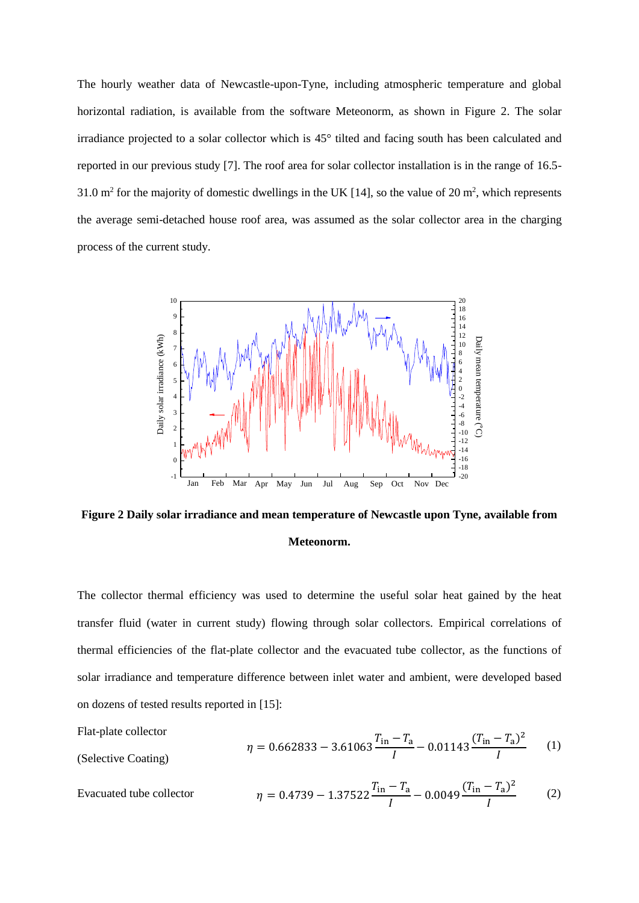The hourly weather data of Newcastle-upon-Tyne, including atmospheric temperature and global horizontal radiation, is available from the software Meteonorm, as shown in Figure 2. The solar irradiance projected to a solar collector which is 45° tilted and facing south has been calculated and reported in our previous study [7]. The roof area for solar collector installation is in the range of 16.5- 31.0  $m<sup>2</sup>$  for the majority of domestic dwellings in the UK [14], so the value of 20  $m<sup>2</sup>$ , which represents the average semi-detached house roof area, was assumed as the solar collector area in the charging process of the current study.



**Figure 2 Daily solar irradiance and mean temperature of Newcastle upon Tyne, available from Meteonorm.**

The collector thermal efficiency was used to determine the useful solar heat gained by the heat transfer fluid (water in current study) flowing through solar collectors. Empirical correlations of thermal efficiencies of the flat-plate collector and the evacuated tube collector, as the functions of solar irradiance and temperature difference between inlet water and ambient, were developed based on dozens of tested results reported in [15]:

Flat-plate collector

$$
\eta = 0.662833 - 3.61063 \frac{T_{\text{in}} - T_{\text{a}}}{I} - 0.01143 \frac{(T_{\text{in}} - T_{\text{a}})^2}{I} \tag{1}
$$

(Selective Coating)

Evacuated tube collector

$$
\eta = 0.4739 - 1.37522 \frac{T_{\text{in}} - T_{\text{a}}}{I} - 0.0049 \frac{(T_{\text{in}} - T_{\text{a}})^2}{I} \tag{2}
$$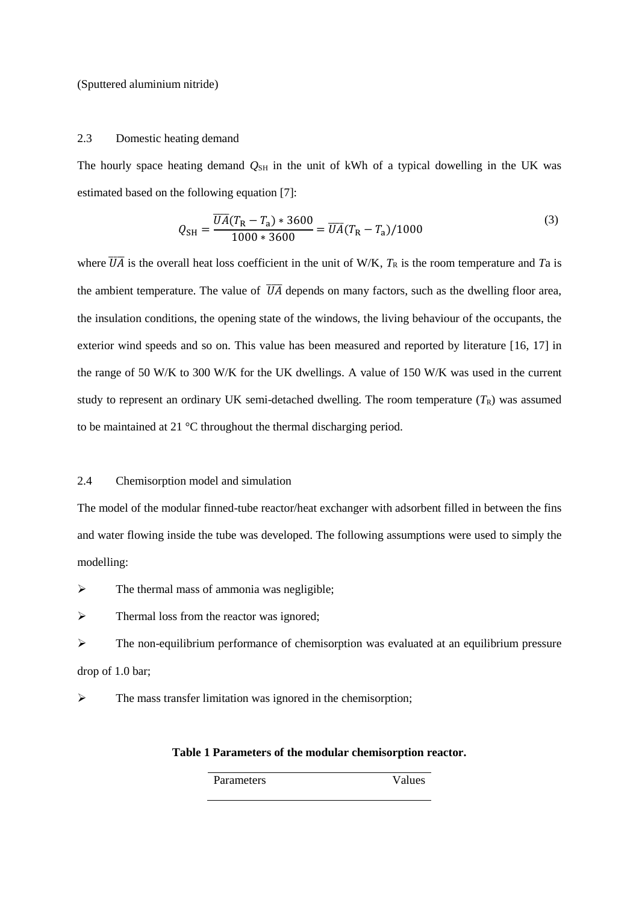(Sputtered aluminium nitride)

#### 2.3 Domestic heating demand

The hourly space heating demand  $Q_{\text{SH}}$  in the unit of kWh of a typical dowelling in the UK was estimated based on the following equation [7]:

$$
Q_{\rm SH} = \frac{\overline{UA}(T_{\rm R} - T_{\rm a}) \times 3600}{1000 \times 3600} = \overline{UA}(T_{\rm R} - T_{\rm a})/1000 \tag{3}
$$

where  $\overline{UA}$  is the overall heat loss coefficient in the unit of W/K,  $T_R$  is the room temperature and  $Ta$  is the ambient temperature. The value of  $\overline{UA}$  depends on many factors, such as the dwelling floor area, the insulation conditions, the opening state of the windows, the living behaviour of the occupants, the exterior wind speeds and so on. This value has been measured and reported by literature [16, 17] in the range of 50 W/K to 300 W/K for the UK dwellings. A value of 150 W/K was used in the current study to represent an ordinary UK semi-detached dwelling. The room temperature  $(T_R)$  was assumed to be maintained at 21 °C throughout the thermal discharging period.

#### 2.4 Chemisorption model and simulation

The model of the modular finned-tube reactor/heat exchanger with adsorbent filled in between the fins and water flowing inside the tube was developed. The following assumptions were used to simply the modelling:

 $\triangleright$  The thermal mass of ammonia was negligible;

 $\triangleright$  Thermal loss from the reactor was ignored;

 The non-equilibrium performance of chemisorption was evaluated at an equilibrium pressure drop of 1.0 bar;

 $\triangleright$  The mass transfer limitation was ignored in the chemisorption;

#### **Table 1 Parameters of the modular chemisorption reactor.**

Parameters Values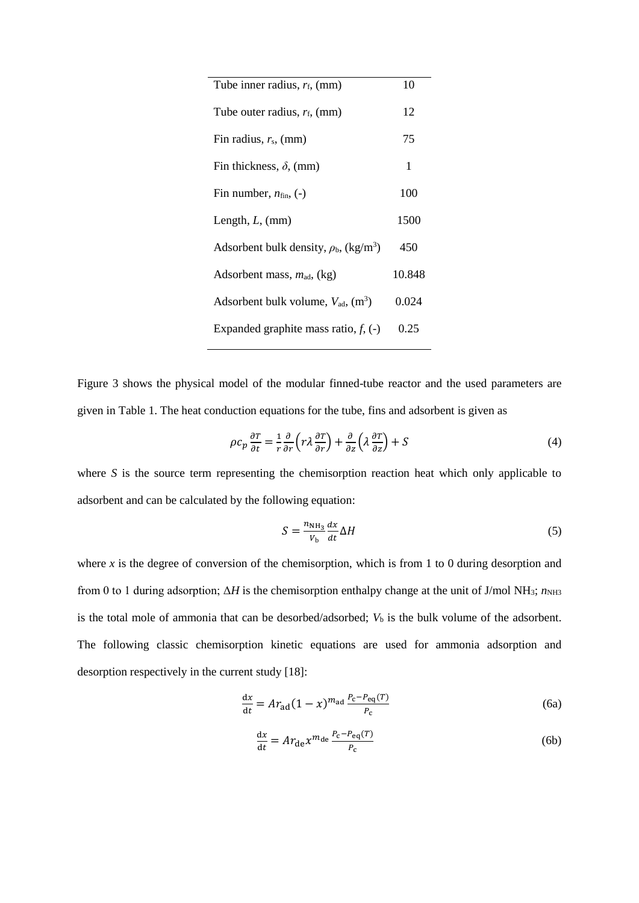| Tube inner radius, $r_f$ , (mm)                         | 10           |
|---------------------------------------------------------|--------------|
| Tube outer radius, $r_f$ , (mm)                         | 12           |
| Fin radius, $r_s$ , (mm)                                | 75           |
| Fin thickness, $\delta$ , (mm)                          | $\mathbf{1}$ |
| Fin number, $n_{fin}$ , (-)                             | 100          |
| Length, $L$ , (mm)                                      | 1500         |
| Adsorbent bulk density, $\rho_b$ , (kg/m <sup>3</sup> ) | 450          |
| Adsorbent mass, $m_{ad}$ , (kg)                         | 10.848       |
| Adsorbent bulk volume, $V_{\text{ad}}$ , $(m^3)$        | 0.024        |
| Expanded graphite mass ratio, $f$ , $(-)$               | 0.25         |
|                                                         |              |

Figure 3 shows the physical model of the modular finned-tube reactor and the used parameters are given in Table 1. The heat conduction equations for the tube, fins and adsorbent is given as

$$
\rho c_p \frac{\partial T}{\partial t} = \frac{1}{r} \frac{\partial}{\partial r} \left( r \lambda \frac{\partial T}{\partial r} \right) + \frac{\partial}{\partial z} \left( \lambda \frac{\partial T}{\partial z} \right) + S \tag{4}
$$

where *S* is the source term representing the chemisorption reaction heat which only applicable to adsorbent and can be calculated by the following equation:

$$
S = \frac{n_{\rm NH_3}}{v_{\rm b}} \frac{dx}{dt} \Delta H \tag{5}
$$

where  $x$  is the degree of conversion of the chemisorption, which is from 1 to 0 during desorption and from 0 to 1 during adsorption;  $\Delta H$  is the chemisorption enthalpy change at the unit of J/mol NH<sub>3</sub>;  $n_{\text{NH3}}$ is the total mole of ammonia that can be desorbed/adsorbed;  $V<sub>b</sub>$  is the bulk volume of the adsorbent. The following classic chemisorption kinetic equations are used for ammonia adsorption and desorption respectively in the current study [18]:

$$
\frac{\mathrm{d}x}{\mathrm{d}t} = Ar_{\mathrm{ad}}(1-x)^{m_{\mathrm{ad}}}\frac{P_{\mathrm{c}} - P_{\mathrm{eq}}(T)}{P_{\mathrm{c}}}
$$
(6a)

$$
\frac{dx}{dt} = Ar_{de} x^{m_{de}} \frac{P_c - P_{eq}(T)}{P_c}
$$
 (6b)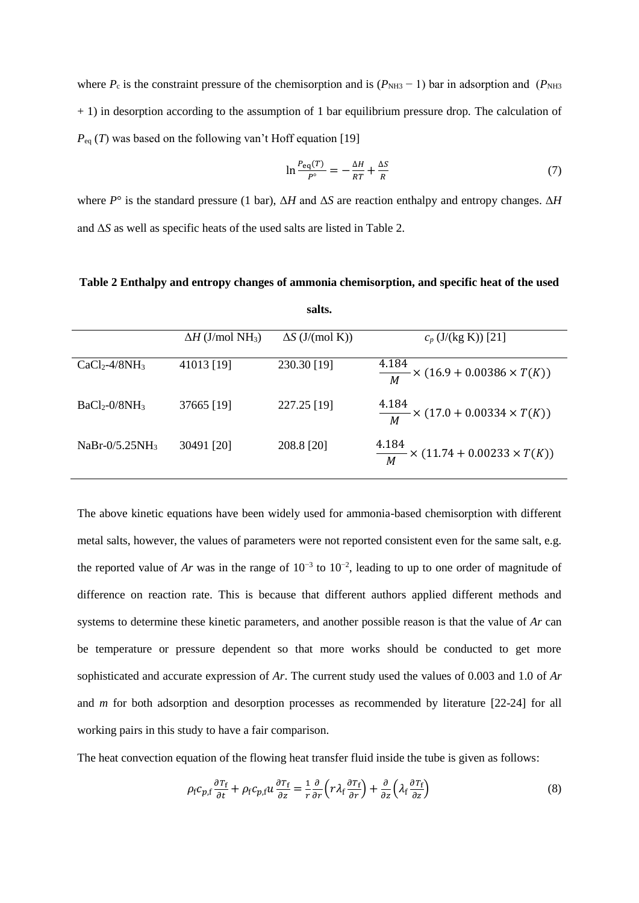where  $P_c$  is the constraint pressure of the chemisorption and is ( $P_{NH3}$  – 1) bar in adsorption and ( $P_{NH3}$ ) + 1) in desorption according to the assumption of 1 bar equilibrium pressure drop. The calculation of *P*eq (*T*) was based on the following van't Hoff equation [19]

$$
\ln \frac{P_{\text{eq}}(T)}{P^{\circ}} = -\frac{\Delta H}{RT} + \frac{\Delta S}{R} \tag{7}
$$

where *P*° is the standard pressure (1 bar), Δ*H* and Δ*S* are reaction enthalpy and entropy changes. Δ*H* and Δ*S* as well as specific heats of the used salts are listed in Table 2.

**Table 2 Enthalpy and entropy changes of ammonia chemisorption, and specific heat of the used** 

**salts.**

|                   | $\Delta H$ (J/mol NH <sub>3</sub> ) | $\Delta S$ (J/(mol K)) | $c_p$ (J/(kg K)) [21]                                 |
|-------------------|-------------------------------------|------------------------|-------------------------------------------------------|
| $CaCl2-4/8NH3$    | 41013 [19]                          | 230.30 [19]            | 4.184<br>$\frac{1}{M}$ × (16.9 + 0.00386 × T(K))      |
| $BaCl2-0/8NH3$    | 37665 [19]                          | 227.25 [19]            | $\frac{4.184}{M} \times (17.0 + 0.00334 \times T(K))$ |
| NaBr-0/5.25 $NH3$ | 30491 [20]                          | 208.8 [20]             | 4.184<br>$\frac{1}{M}$ × (11.74 + 0.00233 × T(K))     |

The above kinetic equations have been widely used for ammonia-based chemisorption with different metal salts, however, the values of parameters were not reported consistent even for the same salt, e.g. the reported value of *Ar* was in the range of  $10^{-3}$  to  $10^{-2}$ , leading to up to one order of magnitude of difference on reaction rate. This is because that different authors applied different methods and systems to determine these kinetic parameters, and another possible reason is that the value of *Ar* can be temperature or pressure dependent so that more works should be conducted to get more sophisticated and accurate expression of *Ar*. The current study used the values of 0.003 and 1.0 of *Ar* and *m* for both adsorption and desorption processes as recommended by literature [22-24] for all working pairs in this study to have a fair comparison.

The heat convection equation of the flowing heat transfer fluid inside the tube is given as follows:

$$
\rho_{\rm f} c_{p,\rm f} \frac{\partial r_{\rm f}}{\partial t} + \rho_{\rm f} c_{p,\rm f} u \frac{\partial r_{\rm f}}{\partial z} = \frac{1}{r} \frac{\partial}{\partial r} \left( r \lambda_{\rm f} \frac{\partial r_{\rm f}}{\partial r} \right) + \frac{\partial}{\partial z} \left( \lambda_{\rm f} \frac{\partial r_{\rm f}}{\partial z} \right) \tag{8}
$$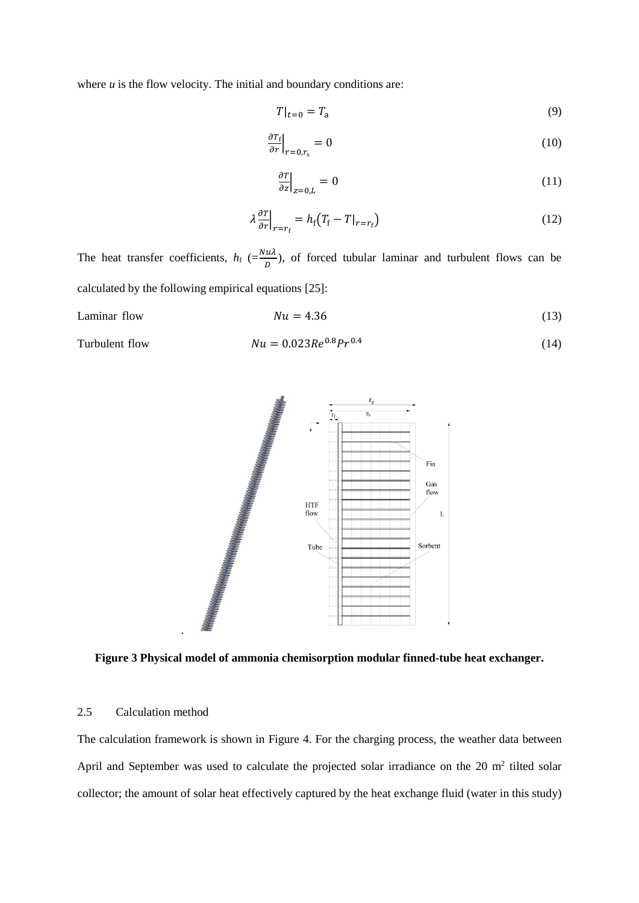where *u* is the flow velocity. The initial and boundary conditions are:

$$
T|_{t=0} = T_a \tag{9}
$$

$$
\left. \frac{\partial T_{\rm f}}{\partial r} \right|_{r=0,r_{\rm s}} = 0 \tag{10}
$$

$$
\left. \frac{\partial T}{\partial z} \right|_{z=0,L} = 0 \tag{11}
$$

$$
\lambda \frac{\partial T}{\partial r}\Big|_{r=r_{\rm f}} = h_{\rm f} \big( T_{\rm f} - T|_{r=r_{\rm f}} \big) \tag{12}
$$

The heat transfer coefficients,  $h_f$  ( $=\frac{Nu\lambda}{D}$ ), of forced tubular laminar and turbulent flows can be calculated by the following empirical equations [25]:

$$
Nu = 4.36 \tag{13}
$$

$$
Nu = 0.023Re0.8Pr0.4
$$
 (14)



**Figure 3 Physical model of ammonia chemisorption modular finned-tube heat exchanger.**

# 2.5 Calculation method

Turbulent flow

The calculation framework is shown in Figure 4. For the charging process, the weather data between April and September was used to calculate the projected solar irradiance on the  $20 \text{ m}^2$  tilted solar collector; the amount of solar heat effectively captured by the heat exchange fluid (water in this study)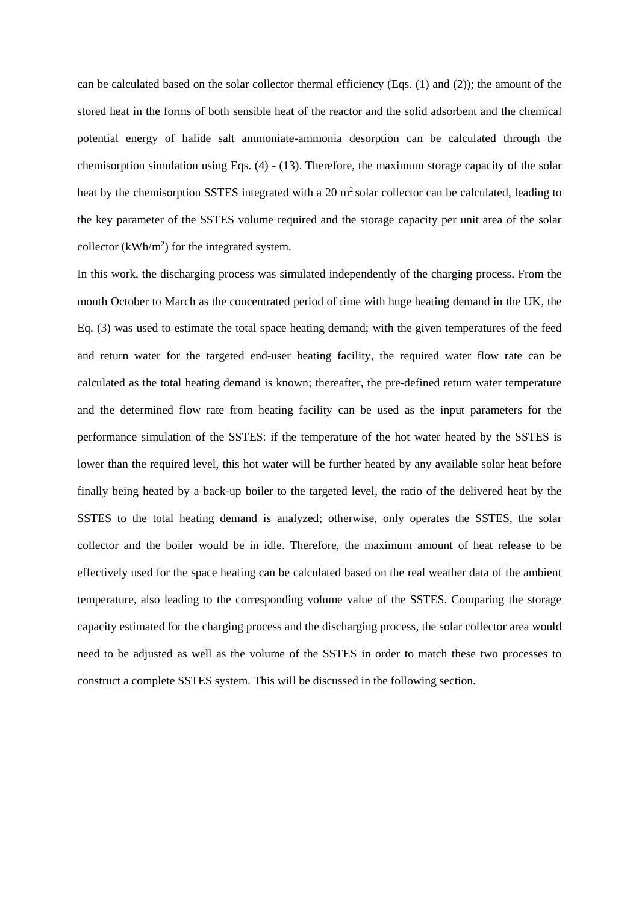can be calculated based on the solar collector thermal efficiency (Eqs. (1) and (2)); the amount of the stored heat in the forms of both sensible heat of the reactor and the solid adsorbent and the chemical potential energy of halide salt ammoniate-ammonia desorption can be calculated through the chemisorption simulation using Eqs.  $(4)$  -  $(13)$ . Therefore, the maximum storage capacity of the solar heat by the chemisorption SSTES integrated with a 20 m<sup>2</sup> solar collector can be calculated, leading to the key parameter of the SSTES volume required and the storage capacity per unit area of the solar collector  $(kWh/m^2)$  for the integrated system.

In this work, the discharging process was simulated independently of the charging process. From the month October to March as the concentrated period of time with huge heating demand in the UK, the Eq. (3) was used to estimate the total space heating demand; with the given temperatures of the feed and return water for the targeted end-user heating facility, the required water flow rate can be calculated as the total heating demand is known; thereafter, the pre-defined return water temperature and the determined flow rate from heating facility can be used as the input parameters for the performance simulation of the SSTES: if the temperature of the hot water heated by the SSTES is lower than the required level, this hot water will be further heated by any available solar heat before finally being heated by a back-up boiler to the targeted level, the ratio of the delivered heat by the SSTES to the total heating demand is analyzed; otherwise, only operates the SSTES, the solar collector and the boiler would be in idle. Therefore, the maximum amount of heat release to be effectively used for the space heating can be calculated based on the real weather data of the ambient temperature, also leading to the corresponding volume value of the SSTES. Comparing the storage capacity estimated for the charging process and the discharging process, the solar collector area would need to be adjusted as well as the volume of the SSTES in order to match these two processes to construct a complete SSTES system. This will be discussed in the following section.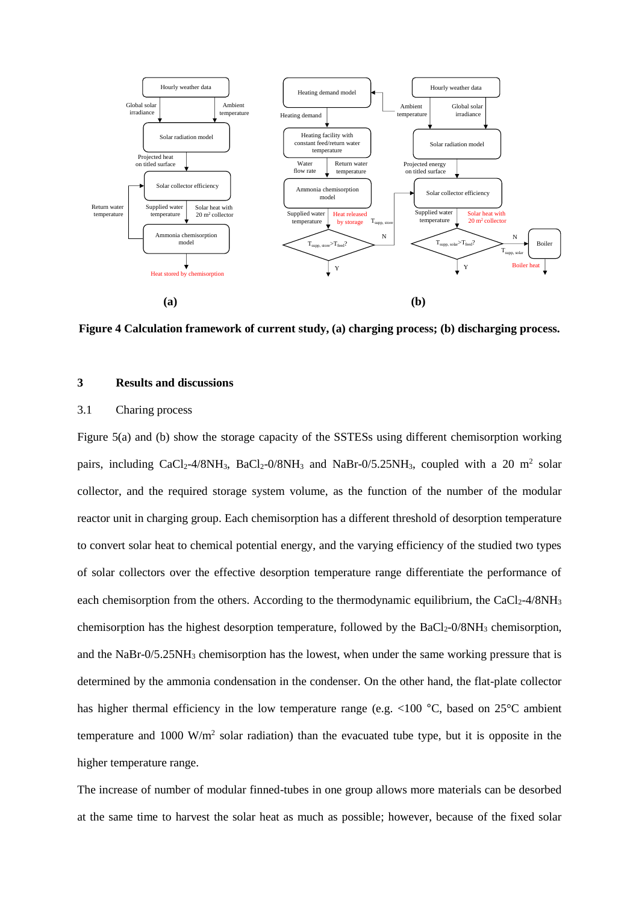

**Figure 4 Calculation framework of current study, (a) charging process; (b) discharging process.**

#### **3 Results and discussions**

#### 3.1 Charing process

Figure 5(a) and (b) show the storage capacity of the SSTESs using different chemisorption working pairs, including CaCl<sub>2</sub>-4/8NH<sub>3</sub>, BaCl<sub>2</sub>-0/8NH<sub>3</sub> and NaBr-0/5.25NH<sub>3</sub>, coupled with a 20 m<sup>2</sup> solar collector, and the required storage system volume, as the function of the number of the modular reactor unit in charging group. Each chemisorption has a different threshold of desorption temperature to convert solar heat to chemical potential energy, and the varying efficiency of the studied two types of solar collectors over the effective desorption temperature range differentiate the performance of each chemisorption from the others. According to the thermodynamic equilibrium, the  $CaCl<sub>2</sub>-4/8NH<sub>3</sub>$ chemisorption has the highest desorption temperature, followed by the  $BaCl<sub>2</sub>-0/8NH<sub>3</sub>$  chemisorption, and the NaBr- $0/5.25NH_3$  chemisorption has the lowest, when under the same working pressure that is determined by the ammonia condensation in the condenser. On the other hand, the flat-plate collector has higher thermal efficiency in the low temperature range (e.g.  $\lt$ 100 °C, based on 25°C ambient temperature and 1000 W/m<sup>2</sup> solar radiation) than the evacuated tube type, but it is opposite in the higher temperature range.

The increase of number of modular finned-tubes in one group allows more materials can be desorbed at the same time to harvest the solar heat as much as possible; however, because of the fixed solar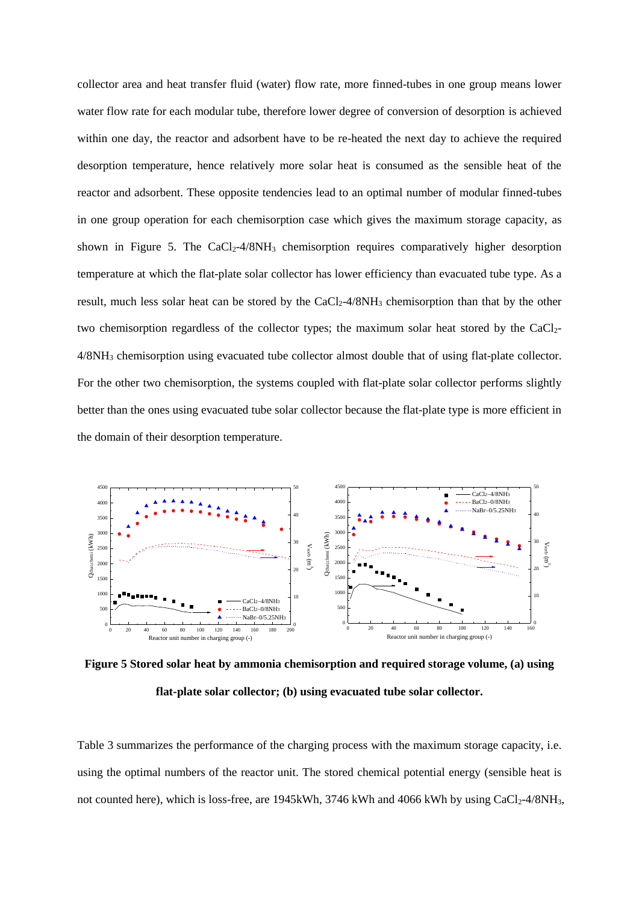collector area and heat transfer fluid (water) flow rate, more finned-tubes in one group means lower water flow rate for each modular tube, therefore lower degree of conversion of desorption is achieved within one day, the reactor and adsorbent have to be re-heated the next day to achieve the required desorption temperature, hence relatively more solar heat is consumed as the sensible heat of the reactor and adsorbent. These opposite tendencies lead to an optimal number of modular finned-tubes in one group operation for each chemisorption case which gives the maximum storage capacity, as shown in Figure 5. The  $CaCl<sub>2</sub>-4/8NH<sub>3</sub>$  chemisorption requires comparatively higher desorption temperature at which the flat-plate solar collector has lower efficiency than evacuated tube type. As a result, much less solar heat can be stored by the CaCl<sub>2</sub>-4/8NH<sub>3</sub> chemisorption than that by the other two chemisorption regardless of the collector types; the maximum solar heat stored by the CaCl<sub>2</sub>-4/8NH<sup>3</sup> chemisorption using evacuated tube collector almost double that of using flat-plate collector. For the other two chemisorption, the systems coupled with flat-plate solar collector performs slightly better than the ones using evacuated tube solar collector because the flat-plate type is more efficient in the domain of their desorption temperature.



**Figure 5 Stored solar heat by ammonia chemisorption and required storage volume, (a) using flat-plate solar collector; (b) using evacuated tube solar collector.**

Table 3 summarizes the performance of the charging process with the maximum storage capacity, i.e. using the optimal numbers of the reactor unit. The stored chemical potential energy (sensible heat is not counted here), which is loss-free, are 1945kWh, 3746 kWh and 4066 kWh by using CaCl<sub>2</sub>-4/8NH<sub>3</sub>,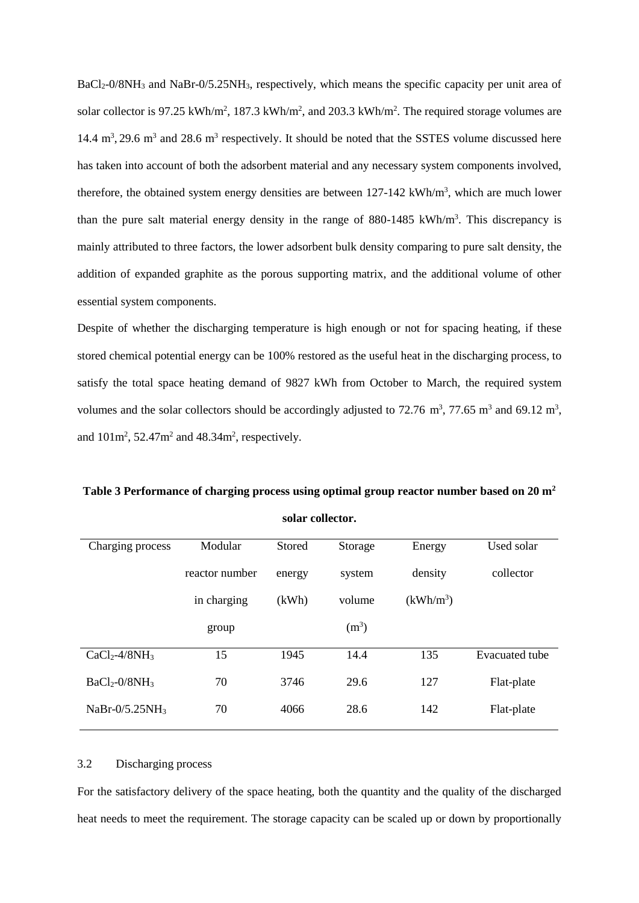$BaCl<sub>2</sub>-0/8NH<sub>3</sub>$  and NaBr-0/5.25NH<sub>3</sub>, respectively, which means the specific capacity per unit area of solar collector is 97.25 kWh/m<sup>2</sup>, 187.3 kWh/m<sup>2</sup>, and 203.3 kWh/m<sup>2</sup>. The required storage volumes are 14.4 m<sup>3</sup>, 29.6 m<sup>3</sup> and 28.6 m<sup>3</sup> respectively. It should be noted that the SSTES volume discussed here has taken into account of both the adsorbent material and any necessary system components involved, therefore, the obtained system energy densities are between  $127-142$  kWh/m<sup>3</sup>, which are much lower than the pure salt material energy density in the range of 880-1485 kWh/m<sup>3</sup>. This discrepancy is mainly attributed to three factors, the lower adsorbent bulk density comparing to pure salt density, the addition of expanded graphite as the porous supporting matrix, and the additional volume of other essential system components.

Despite of whether the discharging temperature is high enough or not for spacing heating, if these stored chemical potential energy can be 100% restored as the useful heat in the discharging process, to satisfy the total space heating demand of 9827 kWh from October to March, the required system volumes and the solar collectors should be accordingly adjusted to 72.76 m<sup>3</sup>, 77.65 m<sup>3</sup> and 69.12 m<sup>3</sup>, and  $101 \text{m}^2$ , 52.47 $\text{m}^2$  and 48.34 $\text{m}^2$ , respectively.

# **Table 3 Performance of charging process using optimal group reactor number based on 20 m<sup>2</sup> solar collector.**

| Charging process           | Modular        | Stored | Storage           | Energy      | Used solar     |
|----------------------------|----------------|--------|-------------------|-------------|----------------|
|                            | reactor number | energy | system            | density     | collector      |
|                            | in charging    | (kWh)  | volume            | $(kWh/m^3)$ |                |
|                            | group          |        | (m <sup>3</sup> ) |             |                |
| $CaCl2-4/8NH3$             | 15             | 1945   | 14.4              | 135         | Evacuated tube |
| $BaCl2-0/8NH3$             | 70             | 3746   | 29.6              | 127         | Flat-plate     |
| NaBr-0/5.25NH <sub>3</sub> | 70             | 4066   | 28.6              | 142         | Flat-plate     |

### 3.2 Discharging process

For the satisfactory delivery of the space heating, both the quantity and the quality of the discharged heat needs to meet the requirement. The storage capacity can be scaled up or down by proportionally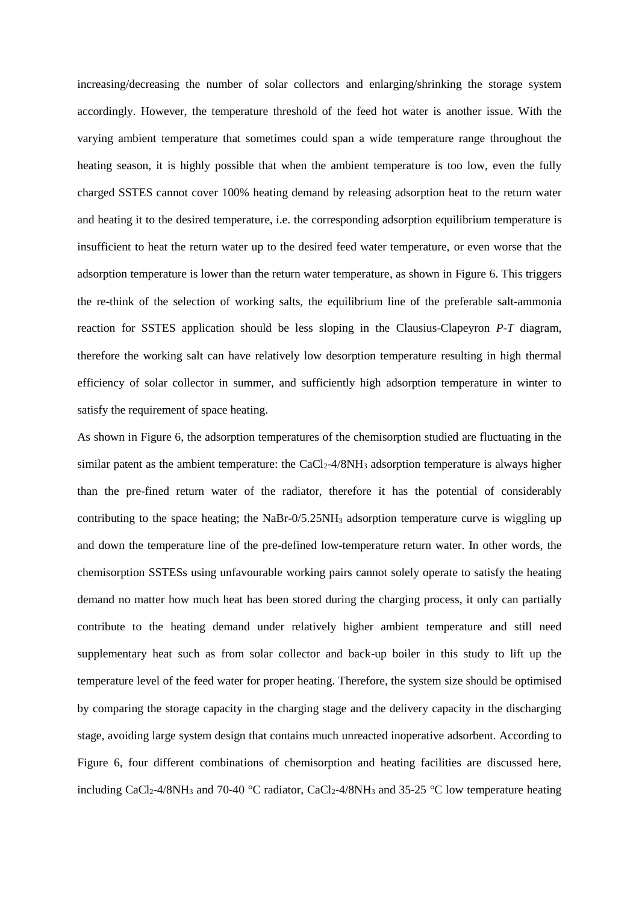increasing/decreasing the number of solar collectors and enlarging/shrinking the storage system accordingly. However, the temperature threshold of the feed hot water is another issue. With the varying ambient temperature that sometimes could span a wide temperature range throughout the heating season, it is highly possible that when the ambient temperature is too low, even the fully charged SSTES cannot cover 100% heating demand by releasing adsorption heat to the return water and heating it to the desired temperature, i.e. the corresponding adsorption equilibrium temperature is insufficient to heat the return water up to the desired feed water temperature, or even worse that the adsorption temperature is lower than the return water temperature, as shown in Figure 6. This triggers the re-think of the selection of working salts, the equilibrium line of the preferable salt-ammonia reaction for SSTES application should be less sloping in the Clausius-Clapeyron *P*-*T* diagram, therefore the working salt can have relatively low desorption temperature resulting in high thermal efficiency of solar collector in summer, and sufficiently high adsorption temperature in winter to satisfy the requirement of space heating.

As shown in Figure 6, the adsorption temperatures of the chemisorption studied are fluctuating in the similar patent as the ambient temperature: the  $CaCl<sub>2</sub>-4/8NH<sub>3</sub>$  adsorption temperature is always higher than the pre-fined return water of the radiator, therefore it has the potential of considerably contributing to the space heating; the NaBr-0/5.25NH<sub>3</sub> adsorption temperature curve is wiggling up and down the temperature line of the pre-defined low-temperature return water. In other words, the chemisorption SSTESs using unfavourable working pairs cannot solely operate to satisfy the heating demand no matter how much heat has been stored during the charging process, it only can partially contribute to the heating demand under relatively higher ambient temperature and still need supplementary heat such as from solar collector and back-up boiler in this study to lift up the temperature level of the feed water for proper heating. Therefore, the system size should be optimised by comparing the storage capacity in the charging stage and the delivery capacity in the discharging stage, avoiding large system design that contains much unreacted inoperative adsorbent. According to Figure 6, four different combinations of chemisorption and heating facilities are discussed here, including CaCl<sub>2</sub>-4/8NH<sub>3</sub> and 70-40 °C radiator, CaCl<sub>2</sub>-4/8NH<sub>3</sub> and 35-25 °C low temperature heating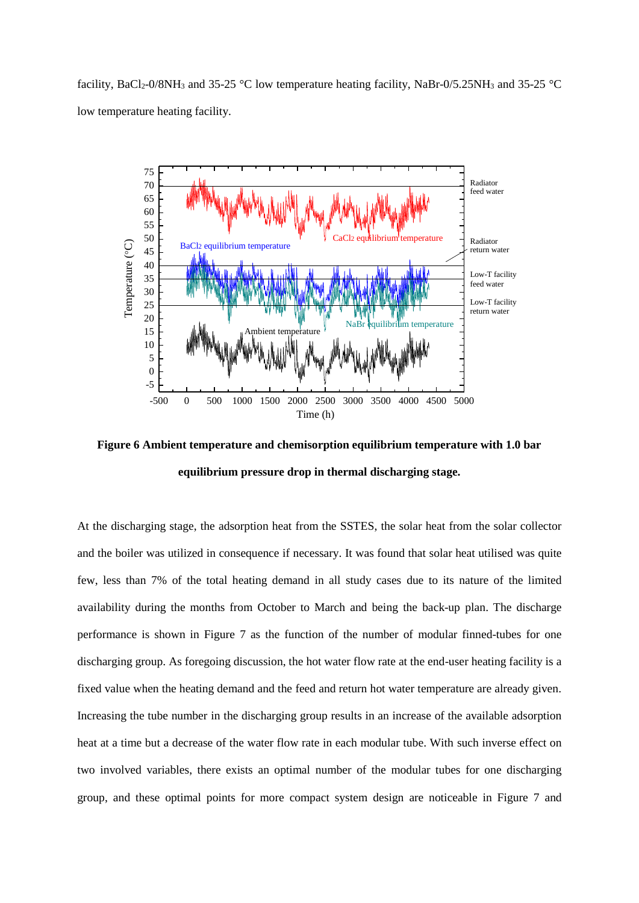facility, BaCl<sub>2</sub>-0/8NH<sub>3</sub> and 35-25 °C low temperature heating facility, NaBr-0/5.25NH<sub>3</sub> and 35-25 °C low temperature heating facility.



**Figure 6 Ambient temperature and chemisorption equilibrium temperature with 1.0 bar equilibrium pressure drop in thermal discharging stage.** 

At the discharging stage, the adsorption heat from the SSTES, the solar heat from the solar collector and the boiler was utilized in consequence if necessary. It was found that solar heat utilised was quite few, less than 7% of the total heating demand in all study cases due to its nature of the limited availability during the months from October to March and being the back-up plan. The discharge performance is shown in Figure 7 as the function of the number of modular finned-tubes for one discharging group. As foregoing discussion, the hot water flow rate at the end-user heating facility is a fixed value when the heating demand and the feed and return hot water temperature are already given. Increasing the tube number in the discharging group results in an increase of the available adsorption heat at a time but a decrease of the water flow rate in each modular tube. With such inverse effect on two involved variables, there exists an optimal number of the modular tubes for one discharging group, and these optimal points for more compact system design are noticeable in Figure 7 and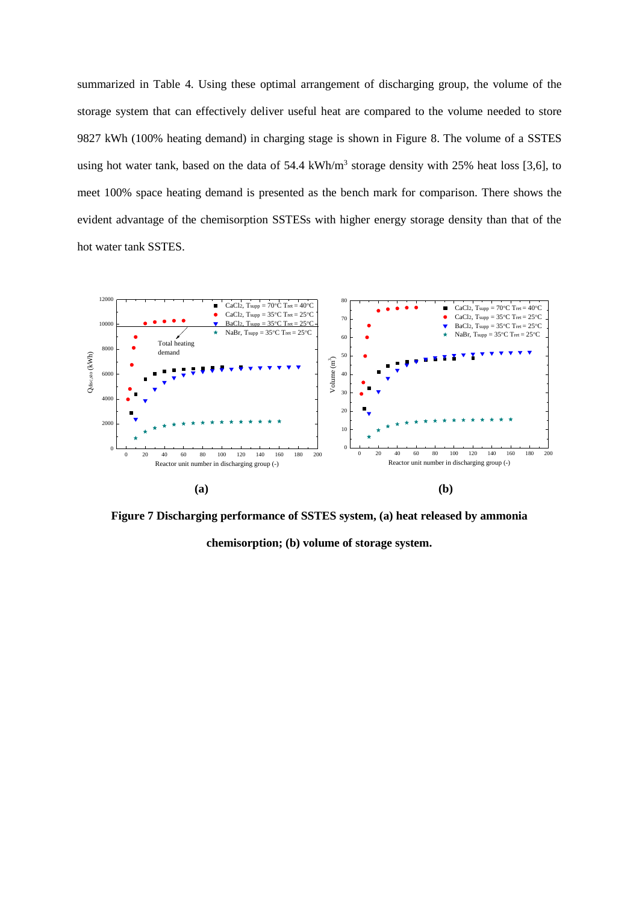summarized in Table 4. Using these optimal arrangement of discharging group, the volume of the storage system that can effectively deliver useful heat are compared to the volume needed to store 9827 kWh (100% heating demand) in charging stage is shown in Figure 8. The volume of a SSTES using hot water tank, based on the data of 54.4 kWh/m<sup>3</sup> storage density with 25% heat loss [3,6], to meet 100% space heating demand is presented as the bench mark for comparison. There shows the evident advantage of the chemisorption SSTESs with higher energy storage density than that of the hot water tank SSTES.



**Figure 7 Discharging performance of SSTES system, (a) heat released by ammonia chemisorption; (b) volume of storage system.**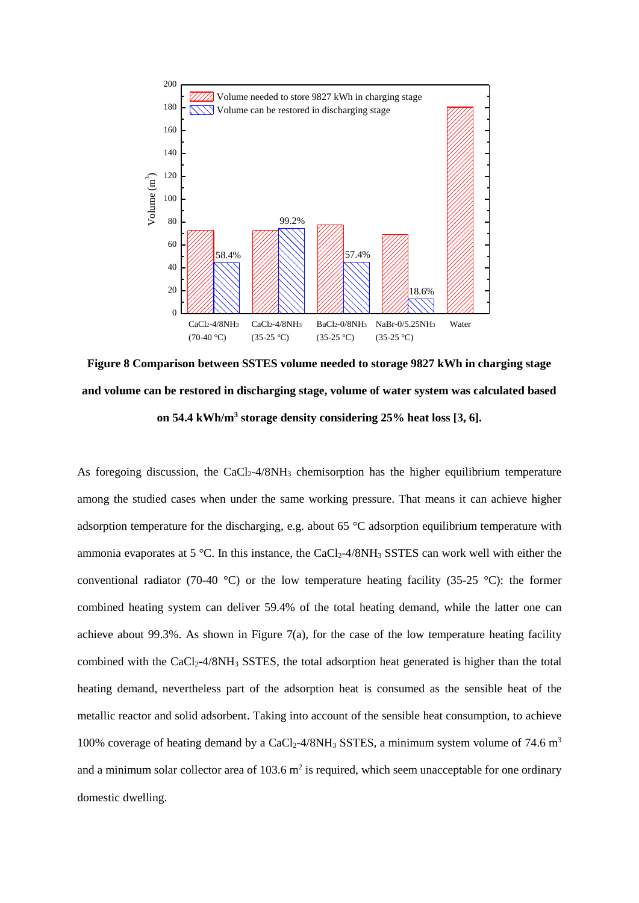

**Figure 8 Comparison between SSTES volume needed to storage 9827 kWh in charging stage and volume can be restored in discharging stage, volume of water system was calculated based on 54.4 kWh/m<sup>3</sup> storage density considering 25% heat loss [3, 6].**

As foregoing discussion, the  $CaCl<sub>2</sub>$ -4/8NH<sub>3</sub> chemisorption has the higher equilibrium temperature among the studied cases when under the same working pressure. That means it can achieve higher adsorption temperature for the discharging, e.g. about 65 °C adsorption equilibrium temperature with ammonia evaporates at 5 °C. In this instance, the CaCl<sub>2</sub>-4/8NH<sub>3</sub> SSTES can work well with either the conventional radiator (70-40 °C) or the low temperature heating facility (35-25 °C): the former combined heating system can deliver 59.4% of the total heating demand, while the latter one can achieve about 99.3%. As shown in Figure 7(a), for the case of the low temperature heating facility combined with the CaCl<sub>2</sub>-4/8NH<sub>3</sub> SSTES, the total adsorption heat generated is higher than the total heating demand, nevertheless part of the adsorption heat is consumed as the sensible heat of the metallic reactor and solid adsorbent. Taking into account of the sensible heat consumption, to achieve 100% coverage of heating demand by a CaCl<sub>2</sub>-4/8NH<sub>3</sub> SSTES, a minimum system volume of 74.6 m<sup>3</sup> and a minimum solar collector area of 103.6  $m<sup>2</sup>$  is required, which seem unacceptable for one ordinary domestic dwelling.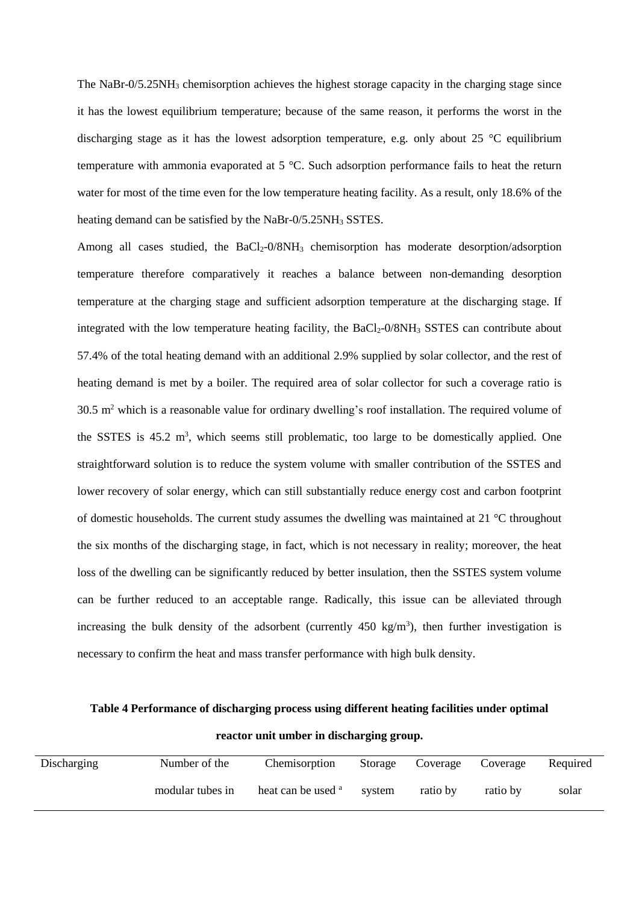The NaBr-0/5.25NH<sub>3</sub> chemisorption achieves the highest storage capacity in the charging stage since it has the lowest equilibrium temperature; because of the same reason, it performs the worst in the discharging stage as it has the lowest adsorption temperature, e.g. only about 25  $^{\circ}$ C equilibrium temperature with ammonia evaporated at 5 °C. Such adsorption performance fails to heat the return water for most of the time even for the low temperature heating facility. As a result, only 18.6% of the heating demand can be satisfied by the NaBr-0/5.25NH<sub>3</sub> SSTES.

Among all cases studied, the  $BaCl<sub>2</sub>-0/8NH<sub>3</sub>$  chemisorption has moderate desorption/adsorption temperature therefore comparatively it reaches a balance between non-demanding desorption temperature at the charging stage and sufficient adsorption temperature at the discharging stage. If integrated with the low temperature heating facility, the  $BaCl<sub>2</sub>-0/8NH<sub>3</sub> SSTES$  can contribute about 57.4% of the total heating demand with an additional 2.9% supplied by solar collector, and the rest of heating demand is met by a boiler. The required area of solar collector for such a coverage ratio is  $30.5$  m<sup>2</sup> which is a reasonable value for ordinary dwelling's roof installation. The required volume of the SSTES is  $45.2 \text{ m}^3$ , which seems still problematic, too large to be domestically applied. One straightforward solution is to reduce the system volume with smaller contribution of the SSTES and lower recovery of solar energy, which can still substantially reduce energy cost and carbon footprint of domestic households. The current study assumes the dwelling was maintained at 21 °C throughout the six months of the discharging stage, in fact, which is not necessary in reality; moreover, the heat loss of the dwelling can be significantly reduced by better insulation, then the SSTES system volume can be further reduced to an acceptable range. Radically, this issue can be alleviated through increasing the bulk density of the adsorbent (currently  $450 \text{ kg/m}^3$ ), then further investigation is necessary to confirm the heat and mass transfer performance with high bulk density.

# **Table 4 Performance of discharging process using different heating facilities under optimal reactor unit umber in discharging group.**

| Discharging | Number of the    | Chemisorption                 | Storage | Coverage | Coverage | Required |
|-------------|------------------|-------------------------------|---------|----------|----------|----------|
|             | modular tubes in | heat can be used <sup>a</sup> | system  | ratio by | ratio by | solar    |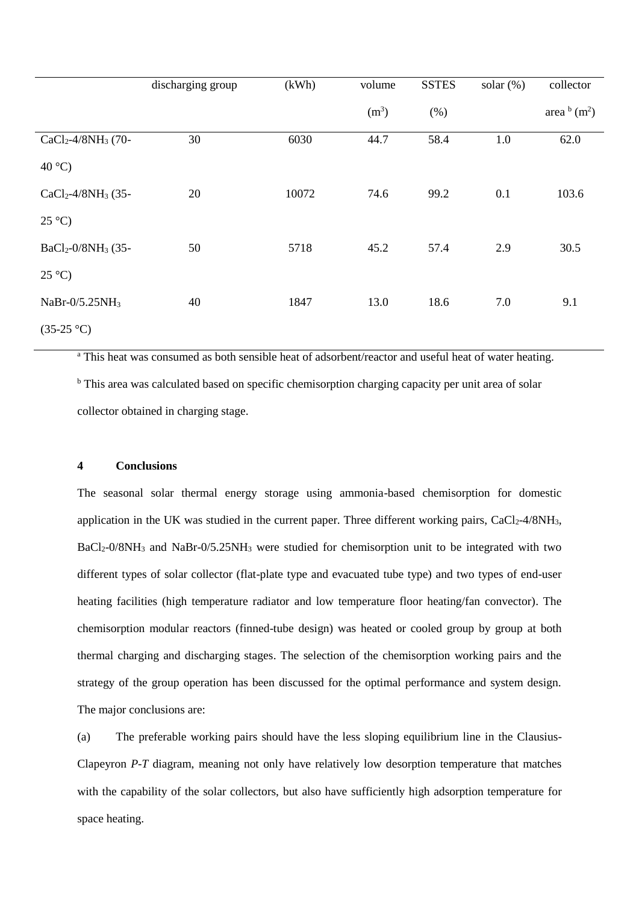|                                            | discharging group | (kWh) | volume            | <b>SSTES</b> | solar $(\%)$ | collector                  |
|--------------------------------------------|-------------------|-------|-------------------|--------------|--------------|----------------------------|
|                                            |                   |       | (m <sup>3</sup> ) | (% )         |              | area $b$ (m <sup>2</sup> ) |
| CaCl <sub>2</sub> -4/8NH <sub>3</sub> (70- | 30                | 6030  | 44.7              | 58.4         | 1.0          | 62.0                       |
| $40^{\circ}$ C)                            |                   |       |                   |              |              |                            |
| CaCl <sub>2</sub> -4/8NH <sub>3</sub> (35- | 20                | 10072 | 74.6              | 99.2         | 0.1          | 103.6                      |
| $25^{\circ}$ C)                            |                   |       |                   |              |              |                            |
| BaCl <sub>2</sub> -0/8NH <sub>3</sub> (35- | 50                | 5718  | 45.2              | 57.4         | 2.9          | 30.5                       |
| $25^{\circ}$ C)                            |                   |       |                   |              |              |                            |
| NaBr-0/5.25NH <sub>3</sub>                 | 40                | 1847  | 13.0              | 18.6         | 7.0          | 9.1                        |
| $(35-25 °C)$                               |                   |       |                   |              |              |                            |

<sup>a</sup> This heat was consumed as both sensible heat of adsorbent/reactor and useful heat of water heating.

<sup>b</sup> This area was calculated based on specific chemisorption charging capacity per unit area of solar collector obtained in charging stage.

## **4 Conclusions**

The seasonal solar thermal energy storage using ammonia-based chemisorption for domestic application in the UK was studied in the current paper. Three different working pairs,  $CaCl<sub>2</sub>-4/8NH<sub>3</sub>$ , BaCl<sub>2</sub>-0/8NH<sub>3</sub> and NaBr-0/5.25NH<sub>3</sub> were studied for chemisorption unit to be integrated with two different types of solar collector (flat-plate type and evacuated tube type) and two types of end-user heating facilities (high temperature radiator and low temperature floor heating/fan convector). The chemisorption modular reactors (finned-tube design) was heated or cooled group by group at both thermal charging and discharging stages. The selection of the chemisorption working pairs and the strategy of the group operation has been discussed for the optimal performance and system design. The major conclusions are:

(a) The preferable working pairs should have the less sloping equilibrium line in the Clausius-Clapeyron *P*-*T* diagram, meaning not only have relatively low desorption temperature that matches with the capability of the solar collectors, but also have sufficiently high adsorption temperature for space heating.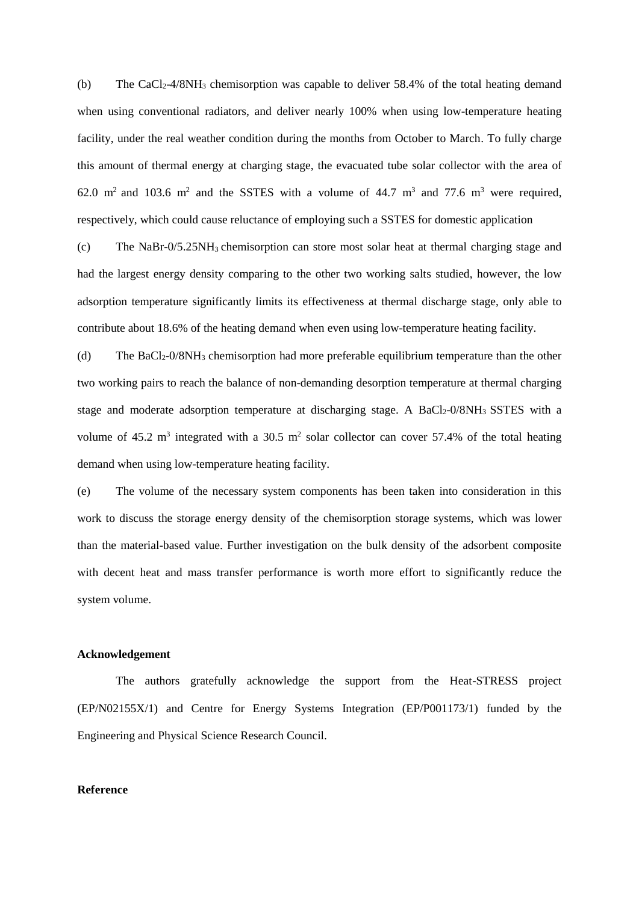(b) The CaCl2-4/8NH<sup>3</sup> chemisorption was capable to deliver 58.4% of the total heating demand when using conventional radiators, and deliver nearly 100% when using low-temperature heating facility, under the real weather condition during the months from October to March. To fully charge this amount of thermal energy at charging stage, the evacuated tube solar collector with the area of 62.0 m<sup>2</sup> and 103.6 m<sup>2</sup> and the SSTES with a volume of 44.7 m<sup>3</sup> and 77.6 m<sup>3</sup> were required, respectively, which could cause reluctance of employing such a SSTES for domestic application

(c) The NaBr-0/5.25NH<sub>3</sub> chemisorption can store most solar heat at thermal charging stage and had the largest energy density comparing to the other two working salts studied, however, the low adsorption temperature significantly limits its effectiveness at thermal discharge stage, only able to contribute about 18.6% of the heating demand when even using low-temperature heating facility.

(d) The BaCl2-0/8NH<sup>3</sup> chemisorption had more preferable equilibrium temperature than the other two working pairs to reach the balance of non-demanding desorption temperature at thermal charging stage and moderate adsorption temperature at discharging stage. A  $BaCl<sub>2</sub>-0/8NH<sub>3</sub> SSTES$  with a volume of 45.2 m<sup>3</sup> integrated with a 30.5 m<sup>2</sup> solar collector can cover 57.4% of the total heating demand when using low-temperature heating facility.

(e) The volume of the necessary system components has been taken into consideration in this work to discuss the storage energy density of the chemisorption storage systems, which was lower than the material-based value. Further investigation on the bulk density of the adsorbent composite with decent heat and mass transfer performance is worth more effort to significantly reduce the system volume.

### **Acknowledgement**

The authors gratefully acknowledge the support from the Heat-STRESS project (EP/N02155X/1) and Centre for Energy Systems Integration (EP/P001173/1) funded by the Engineering and Physical Science Research Council.

#### **Reference**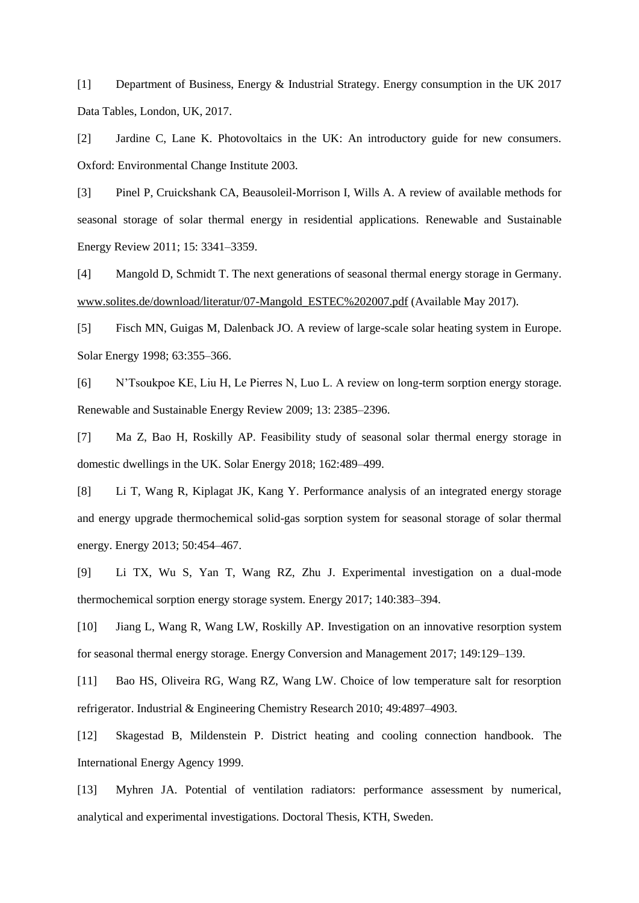[1] Department of Business, Energy & Industrial Strategy. Energy consumption in the UK 2017 Data Tables, London, UK, 2017.

[2] Jardine C, Lane K. Photovoltaics in the UK: An introductory guide for new consumers. Oxford: Environmental Change Institute 2003.

[3] Pinel P, Cruickshank CA, Beausoleil-Morrison I, Wills A. A review of available methods for seasonal storage of solar thermal energy in residential applications. Renewable and Sustainable Energy Review 2011; 15: 3341–3359.

[4] Mangold D, Schmidt T. The next generations of seasonal thermal energy storage in Germany. [www.solites.de/download/literatur/07-Mangold\\_ESTEC%202007.pdf](http://www.solites.de/download/literatur/07-Mangold_ESTEC%202007.pdf) (Available May 2017).

[5] Fisch MN, Guigas M, Dalenback JO. A review of large-scale solar heating system in Europe. Solar Energy 1998; 63:355–366.

[6] N'Tsoukpoe KE, Liu H, Le Pierres N, Luo L. A review on long-term sorption energy storage. Renewable and Sustainable Energy Review 2009; 13: 2385–2396.

[7] Ma Z, Bao H, Roskilly AP. Feasibility study of seasonal solar thermal energy storage in domestic dwellings in the UK. Solar Energy 2018; 162:489–499.

[8] Li T, Wang R, Kiplagat JK, Kang Y. Performance analysis of an integrated energy storage and energy upgrade thermochemical solid-gas sorption system for seasonal storage of solar thermal energy. Energy 2013; 50:454–467.

[9] Li TX, Wu S, Yan T, Wang RZ, Zhu J. Experimental investigation on a dual-mode thermochemical sorption energy storage system. Energy 2017; 140:383–394.

[10] Jiang L, Wang R, Wang LW, Roskilly AP. Investigation on an innovative resorption system for seasonal thermal energy storage. Energy Conversion and Management 2017; 149:129–139.

[11] Bao HS, Oliveira RG, Wang RZ, Wang LW. Choice of low temperature salt for resorption refrigerator. Industrial & Engineering Chemistry Research 2010; 49:4897–4903.

[12] Skagestad B, Mildenstein P. District heating and cooling connection handbook. The International Energy Agency 1999.

[13] Myhren JA. Potential of ventilation radiators: performance assessment by numerical, analytical and experimental investigations. Doctoral Thesis, KTH, Sweden.